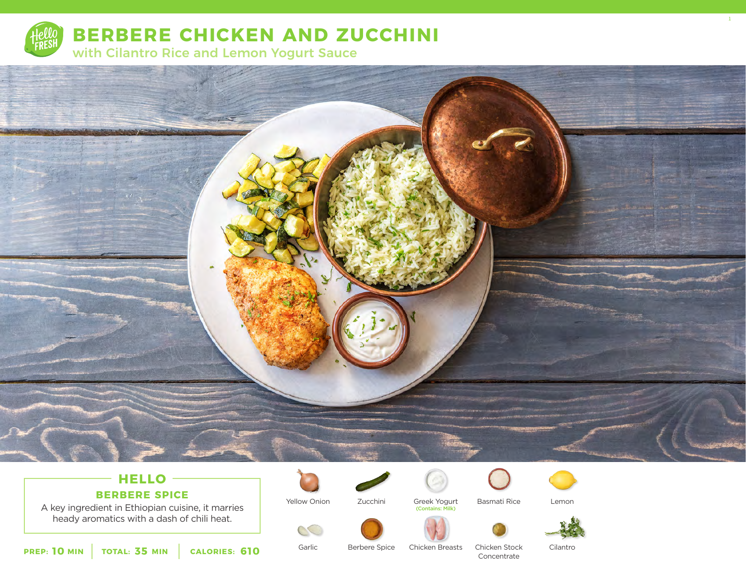

**BERBERE CHICKEN AND ZUCCHINI**

with Cilantro Rice and Lemon Yogurt Sauce



# **HELLO**

### **BERBERE SPICE**

A key ingredient in Ethiopian cuisine, it marries heady aromatics with a dash of chili heat.



Yellow Onion

Garlic

S



Basmati Rice Greek Yogurt (Contains: Milk)



Lemon





1

**10** MIN | TOTAL: 35 MIN | CALORIES: 610

Berbere Spice

Chicken Breasts

Chicken Stock Concentrate

Cilantro